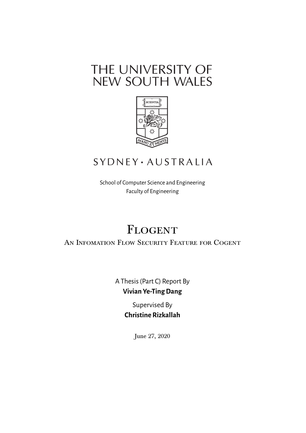# THE UNIVERSITY OF NEW SOUTH WALES



## **SYDNEY** · AUSTRALIA

School of Computer Science and Engineering Faculty of Engineering

# **FLOGENT**

AN INFOMATION FLOW SECURITY FEATURE FOR COGENT

A Thesis (Part C) Report By **Vivian Ye-Ting Dang**

> Supervised By **Christine Rizkallah**

> > June 27, 2020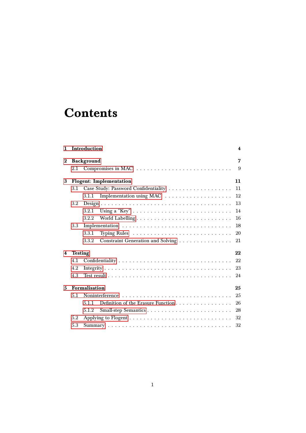# **Contents**

| 1        |                                      | Introduction                                | 4  |  |  |  |  |  |  |  |  |  |
|----------|--------------------------------------|---------------------------------------------|----|--|--|--|--|--|--|--|--|--|
| $\bf{2}$ |                                      | Background                                  |    |  |  |  |  |  |  |  |  |  |
|          | 2.1                                  |                                             | 9  |  |  |  |  |  |  |  |  |  |
| 3        | 11<br><b>Flogent:</b> Implementation |                                             |    |  |  |  |  |  |  |  |  |  |
|          | 3.1                                  |                                             | 11 |  |  |  |  |  |  |  |  |  |
|          |                                      | 3.1.1                                       | 12 |  |  |  |  |  |  |  |  |  |
|          | 3.2                                  |                                             | 13 |  |  |  |  |  |  |  |  |  |
|          |                                      | 3.2.1                                       | 14 |  |  |  |  |  |  |  |  |  |
|          |                                      | 3.2.2                                       | 16 |  |  |  |  |  |  |  |  |  |
|          | 3.3                                  |                                             | 18 |  |  |  |  |  |  |  |  |  |
|          |                                      | 3.3.1                                       | 20 |  |  |  |  |  |  |  |  |  |
|          |                                      | 3.3.2 Constraint Generation and Solving     | 21 |  |  |  |  |  |  |  |  |  |
| 4        |                                      | 22<br><b>Testing</b>                        |    |  |  |  |  |  |  |  |  |  |
|          | 4.1                                  | 22                                          |    |  |  |  |  |  |  |  |  |  |
|          | 4.2                                  | 23                                          |    |  |  |  |  |  |  |  |  |  |
|          | 4.3                                  |                                             | 24 |  |  |  |  |  |  |  |  |  |
| 5        | Formalisation<br>25                  |                                             |    |  |  |  |  |  |  |  |  |  |
|          | 5.1                                  |                                             | 25 |  |  |  |  |  |  |  |  |  |
|          |                                      | 5.1.1<br>Definition of the Erasure Function | 26 |  |  |  |  |  |  |  |  |  |
|          |                                      | 5.1.2                                       | 28 |  |  |  |  |  |  |  |  |  |
|          | 5.2                                  |                                             | 32 |  |  |  |  |  |  |  |  |  |
|          | 5.3                                  |                                             | 32 |  |  |  |  |  |  |  |  |  |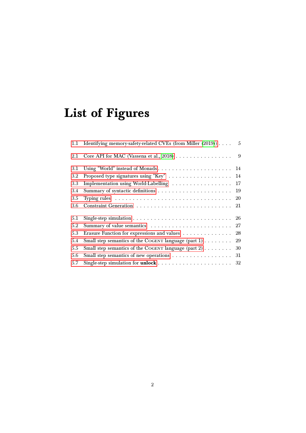# List of Figures

| Identifying memory-safety-related CVEs (from Miller (2019)) | - 5 |
|-------------------------------------------------------------|-----|
| Core API for MAC (Vassena et al., 2018)                     | - 9 |
| Using "World" instead of Monads 14                          |     |
| Proposed type signatures using "Key" 14                     |     |
| Implementation using World-Labelling  17                    |     |
|                                                             | 19  |
|                                                             | 20  |
|                                                             |     |
|                                                             |     |
|                                                             | 27  |
| Erasure Function for expressions and values                 | 28  |
| Small step semantics of the COGENT language (part 1)        | 29  |
| Small step semantics of the COGENT language (part 2)        | 30  |
|                                                             | 31  |
|                                                             | 32  |
|                                                             |     |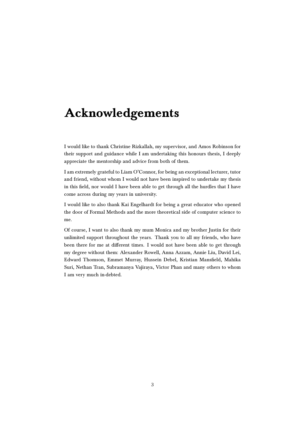## Acknowledgements

I would like to thank Christine Rizkallah, my supervisor, and Amos Robinson for their support and guidance while I am undertaking this honours thesis, I deeply appreciate the mentorship and advice from both of them.

I am extremely grateful to Liam O'Connor, for being an exceptional lecturer, tutor and friend, without whom I would not have been inspired to undertake my thesis in this field, nor would I have been able to get through all the hurdles that I have come across during my years in university.

I would like to also thank Kai Engelhardt for being a great educator who opened the door of Formal Methods and the more theoretical side of computer science to me.

Of course, I want to also thank my mum Monica and my brother Justin for their unlimited support throughout the years. Thank you to all my friends, who have been there for me at different times. I would not have been able to get through my degree without them: Alexander Rowell, Anna Azzam, Annie Liu, David Lei, Edward Thomson, Emmet Murray, Hussein Debel, Kristian Mansfield, Mahika Suri, Nethan Tran, Subramanya Vajiraya, Victor Phan and many others to whom I am very much in-debted.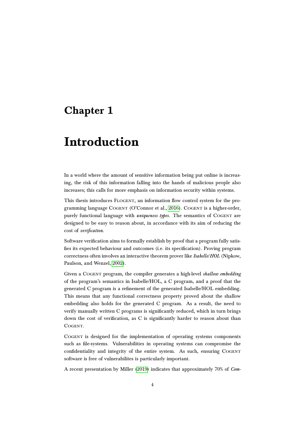## <span id="page-4-0"></span>Chapter 1

## Introduction

In a world where the amount of sensitive information being put online is increasing, the risk of this information falling into the hands of malicious people also increases; this calls for more emphasis on information security within systems.

This thesis introduces FLOGENT, an information flow control system for the pro-gramming language COGENT (O'Connor et al., [2016\)](#page-34-1). COGENT is a higher-order, purely functional language with *uniqueness types*. The semantics of COGENT are designed to be easy to reason about, in accordance with its aim of reducing the cost of verification.

Software verification aims to formally establish by proof that a program fully satisfies its expected behaviour and outcomes (i.e. its specification). Proving program correctness often involves an interactive theorem prover like Isabelle/HOL (Nipkow, Paulson, and Wenzel, [2002\)](#page-34-2).

Given a COGENT program, the compiler generates a high-level shallow embedding of the program's semantics in Isabelle/HOL, a C program, and a proof that the generated C program is a refinement of the generated Isabelle/HOL embedding. This means that any functional correctness property proved about the shallow embedding also holds for the generated C program. As a result, the need to verify manually written C programs is significantly reduced, which in turn brings down the cost of verification, as C is significantly harder to reason about than COGENT.

Cogent is designed for the implementation of operating systems components such as file-systems. Vulnerabilities in operating systems can compromise the confidentiality and integrity of the entire system. As such, ensuring COGENT software is free of vulnerabilites is particularly important.

A recent presentation by Miller [\(2019\)](#page-34-0) indicates that approximately 70% of Com-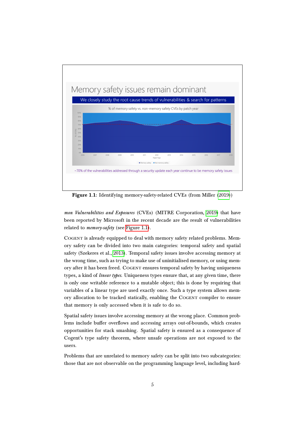<span id="page-5-0"></span>

Figure 1.1: Identifying memory-safety-related CVEs (from Miller [\(2019\)](#page-34-0))

mon Vulnerabilities and Exposures (CVEs) (MITRE Corporation, [2019\)](#page-34-3) that have been reported by Microsoft in the recent decade are the result of vulnerabilities related to *memory-safety* (see [Figure 1.1\)](#page-5-0).

COGENT is already equipped to deal with memory safety related problems. Memory safety can be divided into two main categories: temporal safety and spatial safety (Szekeres et al., [2013\)](#page-35-1). Temporal safety issues involve accessing memory at the wrong time, such as trying to make use of uninitialised memory, or using memory after it has been freed. COGENT ensures temporal safety by having uniqueness types, a kind of *linear types*. Uniqueness types ensure that, at any given time, there is only one writable reference to a mutable object; this is done by requiring that variables of a linear type are used exactly once. Such a type system allows memory allocation to be tracked statically, enabling the Cogent compiler to ensure that memory is only accessed when it is safe to do so.

Spatial safety issues involve accessing memory at the wrong place. Common problems include buffer overflows and accessing arrays out-of-bounds, which creates opportunities for stack smashing. Spatial safety is ensured as a consequence of Cogent's type safety theorem, where unsafe operations are not exposed to the users.

Problems that are unrelated to memory safety can be split into two subcategories: those that are not observable on the programming language level, including hard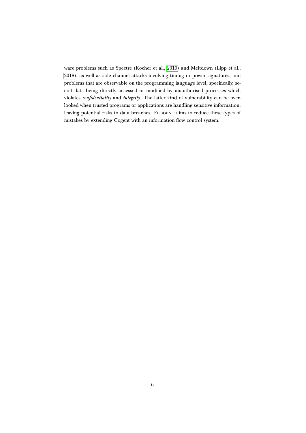ware problems such as Spectre (Kocher et al., [2019\)](#page-33-0) and Meltdown (Lipp et al., [2018\)](#page-33-1), as well as side channel attacks involving timing or power signatures; and problems that are observable on the programming language level, specifically, secret data being directly accessed or modified by unauthorised processes which violates confidentiality and integrity. The latter kind of vulnerability can be overlooked when trusted programs or applications are handling sensitive information, leaving potential risks to data breaches. FLOGENT aims to reduce these types of mistakes by extending Cogent with an information flow control system.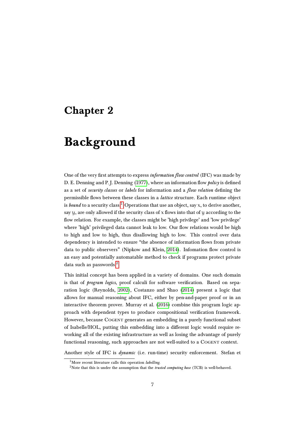## <span id="page-7-0"></span>Chapter 2

## Background

One of the very first attempts to express information flow control (IFC) was made by D. E. Denning and P. J. Denning [\(1977\)](#page-33-2), where an information flow policy is defined as a set of *security classes* or *labels* for information and a *flow relation* defining the permissible flows between these classes in a lattice structure. Each runtime object is bound to a security class.<sup>[1](#page-7-1)</sup> Operations that use an object, say x, to derive another, say  $y$ , are only allowed if the security class of  $x$  flows into that of  $y$  according to the flow relation. For example, the classes might be 'high privilege' and 'low privilege' where 'high' privileged data cannot leak to low. Our flow relations would be high to high and low to high, thus disallowing high to low. This control over data dependency is intended to ensure "the absence of information flows from private data to public observers" (Nipkow and Klein, [2014\)](#page-34-4). Infomation flow control is an easy and potentially automatable method to check if programs protect private data such as passwords.<sup>[2](#page-7-2)</sup>

This initial concept has been applied in a variety of domains. One such domain is that of *program logics*, proof calculi for software verification. Based on separation logic (Reynolds, [2002\)](#page-34-5), Costanzo and Shao [\(2014\)](#page-33-3) present a logic that allows for manual reasoning about IFC, either by pen-and-paper proof or in an interactive theorem prover. Murray et al. [\(2016\)](#page-34-6) combine this program logic approach with dependent types to produce compositional verification framework. However, because Cogent generates an embedding in a purely functional subset of Isabelle/HOL, putting this embedding into a different logic would require reworking all of the existing infrastructure as well as losing the advantage of purely functional reasoning, such approaches are not well-suited to a COGENT context.

Another style of IFC is dynamic (i.e. run-time) security enforcement. Stefan et

<span id="page-7-1"></span><sup>&</sup>lt;sup>1</sup>More recent literature calls this operation *labelling*.

<span id="page-7-2"></span><sup>&</sup>lt;sup>2</sup>Note that this is under the assumption that the *trusted computing base* (TCB) is well-behaved.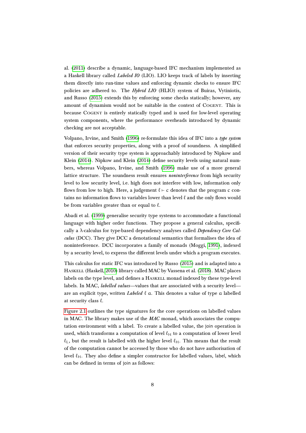al. [\(2011\)](#page-35-2) describe a dynamic, language-based IFC mechanism implemented as a Haskell library called *Labeled IO* (LIO). LIO keeps track of labels by inserting them directly into run-time values and enforcing dynamic checks to ensure IFC policies are adhered to. The *Hybrid LIO* (HLIO) system of Buiras, Vytiniotis, and Russo [\(2015\)](#page-33-4) extends this by enforcing some checks statically; however, any amount of dynamism would not be suitable in the context of Cogent. This is because Cogent is entirely statically typed and is used for low-level operating system components, where the performance overheads introduced by dynamic checking are not acceptable.

Volpano, Irvine, and Smith [\(1996\)](#page-35-3) re-formulate this idea of IFC into a type system that enforces security properties, along with a proof of soundness. A simplified version of their security type system is approachably introduced by Nipkow and Klein [\(2014\)](#page-34-4). Nipkow and Klein [\(2014\)](#page-34-4) define security levels using natural numbers, whereas Volpano, Irvine, and Smith [\(1996\)](#page-35-3) make use of a more general lattice structure. The soundness result ensures *noninterference* from high security level to low security level, i.e. high does not interfere with low, information only flows from low to high. Here, a judgement  $\ell$  ⊢ c denotes that the program c contains no information flows to variables lower than level  $\ell$  and the only flows would be from variables greater than or equal to  $\ell$ .

Abadi et al. [\(1999\)](#page-33-5) generalise security type systems to accommodate a functional language with higher order functions. They propose a general calculus, specifically a  $\lambda$ -calculus for type-based dependency analyses called *Dependency Core Cal*culus (DCC). They give DCC a denotational semantics that formalises the idea of noninterference. DCC incorporates a family of monads (Moggi, [1991\)](#page-34-7), indexed by a security level, to express the different levels under which a program executes.

This calculus for static IFC was introduced by Russo [\(2015\)](#page-34-8) and is adapted into a HASKELL (Haskell, [2010\)](#page-33-6) library called MAC by Vassena et al. [\(2018\)](#page-35-0). MAC places labels on the type level, and defines a HASKELL monad indexed by these type-level labels. In MAC, labelled values—values that are associated with a security level are an explicit type, written Labeled  $\ell$  a. This denotes a value of type a labelled at security class  $\ell$ .

[Figure 2.1](#page-9-1) outlines the type signatures for the core operations on labelled values in MAC. The library makes use of the  $MAC$  monad, which associates the computation environment with a label. To create a labelled value, the join operation is used, which transforms a computation of level  $\ell_H$  to a computation of lower level  $\ell_I$ , but the result is labelled with the higher level  $\ell_H$ . This means that the result of the computation cannot be accessed by those who do not have authorisation of level  $\ell_H$ . They also define a simpler constructor for labelled values, label, which can be defined in terms of join as follows: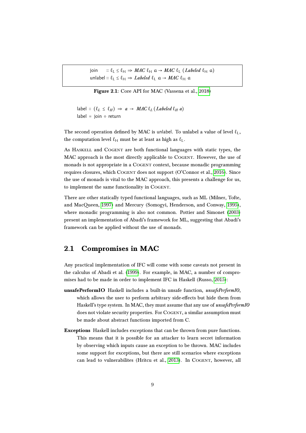<span id="page-9-1"></span>join  $\therefore \ell_I \leq \ell_H \Rightarrow MAC \ell_H \alpha \rightarrow MAC \ell_I (Labeled \ell_H \alpha)$ unlabel ::  $\ell_I \leq \ell_H \Rightarrow \text{Labeled } \ell_I \text{ a} \rightarrow \text{MAC } \ell_H \text{ a}$ 

Figure 2.1: Core API for MAC (Vassena et al., [2018\)](#page-35-0)

label ::  $(\ell_L \leq \ell_H)$  ⇒  $a$  → MAC  $\ell_L$  (Labeled  $\ell_H a$ ) label = join ○ return

The second operation defined by MAC is unlabel. To unlabel a value of level  $\ell_L$ , the computation level  $\ell_H$  must be at least as high as  $\ell_L$ .

As Haskell and Cogent are both functional languages with static types, the MAC approach is the most directly applicable to COGENT. However, the use of monads is not appropriate in a COGENT context, because monadic programming requires closures, which COGENT does not support (O'Connor et al., [2016\)](#page-34-1). Since the use of monads is vital to the MAC approach, this presents a challenge for us, to implement the same functionality in COGENT.

There are other statically typed functional languages, such as ML (Milner, Tofte, and MacQueen, [1997\)](#page-34-9) and Mercury (Somogyi, Henderson, and Conway, [1995\)](#page-34-10), where monadic programming is also not common. Pottier and Simonet [\(2003\)](#page-34-11) present an implementation of Abadi's framework for ML, suggesting that Abadi's framework can be applied without the use of monads.

### <span id="page-9-0"></span>2.1 Compromises in MAC

Any practical implementation of IFC will come with some caveats not present in the calculus of Abadi et al. [\(1999\)](#page-33-5). For example, in MAC, a number of compromises had to be made in order to implement IFC in Haskell (Russo, [2015\)](#page-34-8):

- unsafePerformIO Haskell includes a built-in unsafe function, unsafePerformIO, which allows the user to perform arbitrary side-effects but hide them from Haskell's type system. In MAC, they must assume that any use of *unsafePerformIO* does not violate security properties. For COGENT, a similar assumption must be made about abstract functions imported from C.
- Exceptions Haskell includes exceptions that can be thrown from pure functions. This means that it is possible for an attacker to learn secret information by observing which inputs cause an exception to be thrown. MAC includes some support for exceptions, but there are still scenarios where exceptions can lead to vulnerabilites (Hritcu et al., [2013\)](#page-33-7). In COGENT, however, all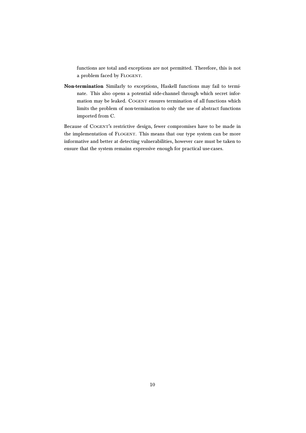functions are total and exceptions are not permitted. Therefore, this is not a problem faced by Flogent.

Non-termination Similarly to exceptions, Haskell functions may fail to terminate. This also opens a potential side-channel through which secret information may be leaked. COGENT ensures termination of all functions which limits the problem of non-termination to only the use of abstract functions imported from C.

Because of COGENT's restrictive design, fewer compromises have to be made in the implementation of Flogent. This means that our type system can be more informative and better at detecting vulnerabilities, however care must be taken to ensure that the system remains expressive enough for practical use-cases.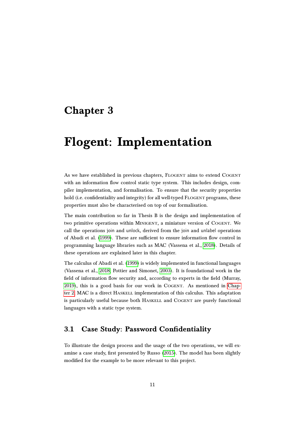## <span id="page-11-0"></span>Chapter 3

## Flogent: Implementation

As we have established in previous chapters, FLOGENT aims to extend COGENT with an information flow control static type system. This includes design, compiler implementation, and formalisation. To ensure that the security properties hold (i.e. confidentiality and integrity) for all well-typed FLOGENT programs, these properties must also be characterised on top of our formalisation.

The main contribution so far in Thesis B is the design and implementation of two primitive operations within Minigent, a miniature version of Cogent. We call the operations join and unlock, derived from the join and unlabel operations of Abadi et al. [\(1999\)](#page-33-5). These are sufficient to ensure information flow control in programming language libraries such as MAC (Vassena et al., [2018\)](#page-35-0). Details of these operations are explained later in this chapter.

The calculus of Abadi et al. [\(1999\)](#page-33-5) is widely implemented in functional languages (Vassena et al., [2018;](#page-35-0) Pottier and Simonet, [2003\)](#page-34-11). It is foundational work in the field of information flow security and, according to experts in the field (Murray, [2019\)](#page-34-12), this is a good basis for our work in Cogent. As mentioned in [Chap](#page-7-0)[ter 2,](#page-7-0) MAC is a direct HASKELL implementation of this calculus. This adaptation is particularly useful because both HASKELL and COGENT are purely functional languages with a static type system.

### <span id="page-11-1"></span>3.1 Case Study: Password Confidentiality

To illustrate the design process and the usage of the two operations, we will examine a case study, first presented by Russo [\(2015\)](#page-34-8). The model has been slightly modified for the example to be more relevant to this project.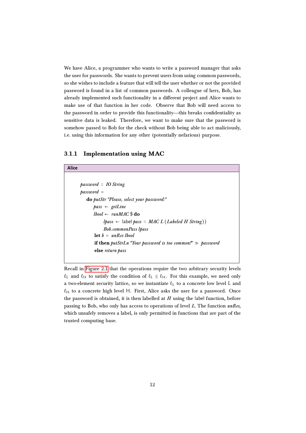We have Alice, a programmer who wants to write a password manager that asks the user for passwords. She wants to prevent users from using common passwords, so she wishes to include a feature that will tell the user whether or not the provided password is found in a list of common passwords. A colleague of hers, Bob, has already implemented such functionality in a different project and Alice wants to make use of that function in her code. Observe that Bob will need access to the password in order to provide this functionality—this breaks confidentiality as sensitive data is leaked. Therefore, we want to make sure that the password is somehow passed to Bob for the check without Bob being able to act maliciously, i.e. using this information for any other (potentially nefarious) purpose.

#### <span id="page-12-0"></span>3.1.1 Implementation using MAC

**Alice**

| password :: IO String                                                 |
|-----------------------------------------------------------------------|
| $password =$                                                          |
| do putStr "Please, select your password:"                             |
| $pass \leftarrow getLine$                                             |
| $lbool \leftarrow runMAC \$$ do                                       |
| <i>lpass</i> $\leftarrow$ label pass :: MAC L (Labeled H String))     |
| <b>Bob.commonPass lpass</b>                                           |
| $let b = unRes blood$                                                 |
| <b>if then</b> putStrLn "Your password is too common!" $\gg$ password |
| else return pass                                                      |
|                                                                       |

Recall in [Figure 2.1](#page-9-1) that the operations require the two arbitrary security levels  $\ell_L$  and  $\ell_H$  to satisfy the condition of  $\ell_L \leq \ell_H$ . For this example, we need only a two-element security lattice, so we instantiate  $\ell_L$  to a concrete low level L and  $\ell_H$  to a concrete high level H. First, Alice asks the user for a password. Once the password is obtained, it is then labelled at  $H$  using the label function, before passing to Bob, who only has access to operations of level L. The function unRes, which unsafely removes a label, is only permitted in functions that are part of the trusted computing base.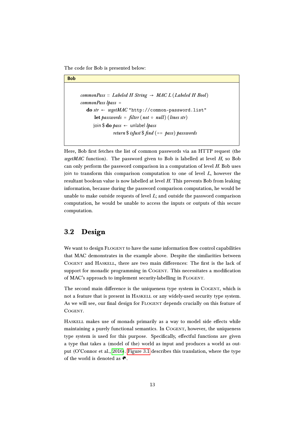The code for Bob is presented below:



```
commonPass \therefore Labeled H String \rightarrow MAC L (Labeled H Bool)
commonPass lpass =
   do str \leftarrow \textit{wgetMAC} "http://common-password.list"
       let passwords = filter (not \circ null) (lines str)
       join $ do pass \leftarrow unlabel lpass
                   return \frac{1}{2} is Just \frac{1}{2} find (== pass) passwords
```
Here, Bob first fetches the list of common passwords via an HTTP request (the wgetMAC function). The password given to Bob is labelled at level  $H$ , so Bob can only perform the password comparison in a computation of level  $H$ . Bob uses join to transform this comparison computation to one of level  $L$ , however the resultant boolean value is now labelled at level H. This prevents Bob from leaking information, because during the password comparison computation, he would be unable to make outside requests of level  $L$ ; and outside the password comparison computation, he would be unable to access the inputs or outputs of this secure computation.

### <span id="page-13-0"></span>3.2 Design

We want to design FLOGENT to have the same information flow control capabilities that MAC demonstrates in the example above. Despite the similarities between COGENT and HASKELL, there are two main differences: The first is the lack of support for monadic programming in COGENT. This necessitates a modification of MAC's approach to implement security-labelling in Flogent.

The second main difference is the uniqueness type system in COGENT, which is not a feature that is present in Haskell or any widely-used security type system. As we will see, our final design for FLOGENT depends crucially on this feature of COGENT.

HASKELL makes use of monads primarily as a way to model side effects while maintaining a purely functional semantics. In COGENT, however, the uniqueness type system is used for this purpose. Specifically, effectful functions are given a type that takes a (model of the) world as input and produces a world as output (O'Connor et al., [2016\)](#page-34-1). [Figure 3.1](#page-14-1) describes this translation, where the type of the world is denoted as  $\bullet$ .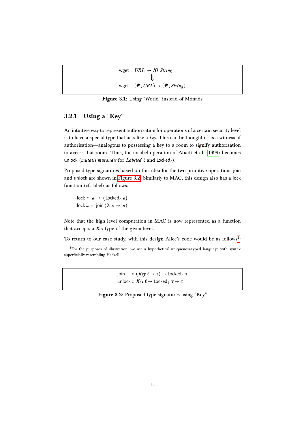<span id="page-14-1"></span>

| wget :: $URL \rightarrow IO String$                                                    |  |
|----------------------------------------------------------------------------------------|--|
|                                                                                        |  |
| wget :: $(\mathbf{\hat{C}}, \text{URL}) \rightarrow (\mathbf{\hat{C}}, \text{String})$ |  |

Figure 3.1: Using "World" instead of Monads

### <span id="page-14-0"></span>3.2.1 Using a "Key"

An intuitive way to represent authorisation for operations of a certain security level is to have a special type that acts like a  $key$ . This can be thought of as a witness of authorisation—analogous to possessing a key to a room to signify authorisation to access that room. Thus, the unlabel operation of Abadi et al. [\(1999\)](#page-33-5) becomes unlock (*mutatis mutandis* for *Labeled*  $\ell$  and Locked<sub> $\ell$ </sub>).

Proposed type signatures based on this idea for the two primitive operations join and unlock are shown in [Figure 3.2.](#page-14-2) Similarly to MAC, this design also has a lock function (cf. label) as follows:

lock  $:: a \rightarrow (\text{locked}_{\ell} \ a)$ lock  $a = \text{join} (\lambda x \rightarrow a)$ 

Note that the high level computation in MAC is now represented as a function that accepts a  $Key$  type of the given level.

To return to our case study, with this design Alice's code would be as follows $^1\!$  $^1\!$  $^1\!$ :

join ::  $(Key \ell \rightarrow \tau) \rightarrow \text{Locked}_{\ell} \tau$ unlock ::  $Key \ell \rightarrow Locked \ell \rightarrow \tau$ 

| <b>Figure 3.2:</b> Proposed type signatures using "Key" |  |  |  |  |
|---------------------------------------------------------|--|--|--|--|
|---------------------------------------------------------|--|--|--|--|

<span id="page-14-3"></span><span id="page-14-2"></span><sup>&</sup>lt;sup>1</sup>For the purposes of illustration, we use a hypothetical uniqueness-typed language with syntax superficially resembling Haskell.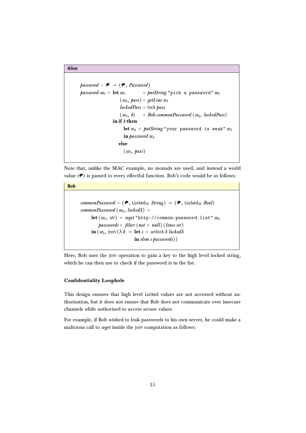```
Alice
```
**Bob**

```
password :: \mathfrak{G} \rightarrow (\mathfrak{G}, Password)
password w_0 = let w_1 = putString "pick a password" w_0(w_2, \text{ pass}) = \text{getLine } w_1lockedPass = lock pass(w_3, b) = Bob.commonPassword (w_2, lockedPass)in if b then
                       let w_4 = putString "your password is weak" w_3in password w_4else
                       (w_3, \text{ pass})
```
Note that, unlike the MAC example, no monads are used, and instead a world value  $(\bullet)$  is passed to every effectful function. Bob's code would be as follows:

```
commonPassword :: (\bullet, Locked<sub>H</sub> String) \rightarrow (\bullet, Locked<sub>H</sub> Bool)
commonPassword(w_0, lockedS) =let (w_1, str) = wget "http://common-password.list" w_0passwords = filter (not \circ null) (lines str)\textbf{in} (w_1, join (\lambda k \rightarrow \textbf{let } s = \text{unlock } k \text{ locked}S
                                 in elem s passwords))
```
Here, Bob uses the join operation to gain a key to the high level locked string, which he can then use to check if the password is in the list.

#### Confidentiality Loophole

This design ensures that high level Locked values are not accessed without authorisation, but it does not ensure that Bob does not communicate over insecure channels while authorised to access secure values.

For example, if Bob wished to leak passwords to his own server, he could make a malicious call to wget inside the join computation as follows: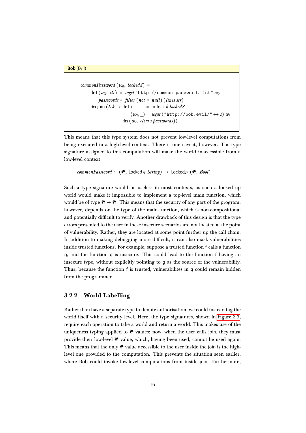#### **Bob** (Evil)

```
commonPassword(w_0, lockedS) =let (w_1, str) = wget "http://common-password.list" w_0passwords = filter (not \circ null) (lines str)in join (\lambda k \rightarrow \text{let } s) = unlock k lockedS
                        (w_2, ) = wget("http://bob.evil/~++ s) w_1in (w_2, elem s passwords))
```
This means that this type system does not prevent low-level computations from being executed in a high-level context. There is one caveat, however: The type signature assigned to this computation will make the world inaccessible from a low-level context:

```
commonPassword :: (\bullet, Locked<sub>H</sub> String) \rightarrow Locked<sub>H</sub> (\bullet, Bool)
```
Such a type signature would be useless in most contexts, as such a locked up world would make it impossible to implement a top-level main function, which would be of type  $\bullet \rightarrow \bullet$ . This means that the security of any part of the program, however, depends on the type of the main function, which is non-compositional and potentially difficult to verify. Another drawback of this design is that the type errors presented to the user in these insecure scenarios are not located at the point of vulnerability. Rather, they are located at some point further up the call chain. In addition to making debugging more difficult, it can also mask vulnerabilities inside trusted functions. For example, suppose a trusted function f calls a function g, and the function g is insecure. This could lead to the function f having an insecure type, without explicitly pointing to g as the source of the vulnerability. Thus, because the function f is trusted, vulnerabilites in g could remain hidden from the programmer.

#### <span id="page-16-0"></span>3.2.2 World Labelling

Rather than have a separate type to denote authorisation, we could instead tag the world itself with a security level. Here, the type signatures, shown in [Figure 3.3,](#page-17-0) require each operation to take a world and return a world. This makes use of the uniqueness typing applied to  $\bullet$  values: now, when the user calls join, they must provide their low-level  $\bullet$  value, which, having been used, cannot be used again. This means that the only  $\bullet$  value accessible to the user inside the join is the highlevel one provided to the computation. This prevents the situation seen earlier, where Bob could invoke low-level computations from inside join. Furthermore,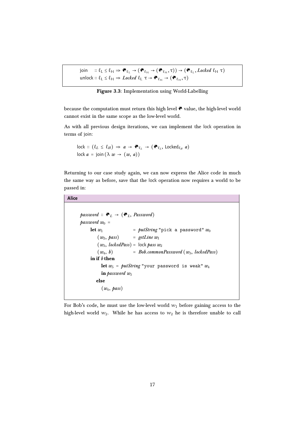<span id="page-17-0"></span>join  $: \ell_L \leq \ell_H \Rightarrow \bigotimes_{\ell_L} \to (\bigotimes_{\ell_H} \to (\bigotimes_{\ell_H} \tau)) \to (\bigotimes_{\ell_L} , \text{Locked } \ell_H \tau)$ unlock ::  $\ell_L \leq \ell_H \Rightarrow \text{Locked } \ell_L \tau \to \bigotimes_{\ell_H} \to (\bigotimes_{\ell_H} , \tau)$ 

Figure 3.3: Implementation using World-Labelling

because the computation must return this high level  $\bullet$  value, the high-level world cannot exist in the same scope as the low-level world.

As with all previous design iterations, we can implement the lock operation in terms of join:

$$
lock :: (\ell_L \leq \ell_H) \Rightarrow a \to \mathfrak{E}_{\ell_L} \to (\mathfrak{E}_{\ell_L}, \text{Locked}_{\ell_H} a)
$$
  

$$
lock a = join (\lambda w \to (w, a))
$$

Returning to our case study again, we can now express the Alice code in much the same way as before, save that the lock operation now requires a world to be passed in:

```
Alice
```

```
password :: \mathfrak{E}_L \rightarrow (\mathfrak{E}_L, Password)
password w_0 =
     let w_1 = putString "pick a password" w_0(w_2, \text{ pass}) = getLine w_1(w_3, \text{lockedPass}) = \text{lock pass } w_2(w_4, b) = Bob.commonPassword (w_3, lockedPass)in if b then
          let w_5 = putString "your password is weak" w_4in password w_5else
           (w_4, \text{pass})
```
For Bob's code, he must use the low-level world  $w_1$  before gaining access to the high-level world  $w_2$ . While he has access to  $w_2$  he is therefore unable to call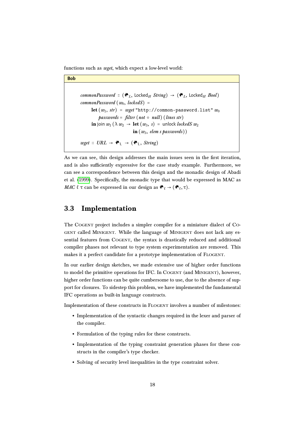functions such as *wget*, which expect a low-level world:

```
Bob
       commonPassword :: (\mathcal{O}_L, \text{locked}_H \text{ String}) \rightarrow (\mathcal{O}_L, \text{locked}_H \text{Bool})commonPassword (w_0, lockedS) =let (w_1, str) = wget "http://common-password.list" w_0passwords = filter (not \circ null) (lines str)in join w_1 (\lambda w_2 \rightarrow let (w_3, s) = unlock lockedS w_2in (w_3, elem s passwords))
       wget :: URL \rightarrow \bullet_L \rightarrow (\bullet_L, String)
```
As we can see, this design addresses the main issues seen in the first iteration, and is also sufficiently expressive for the case study example. Furthermore, we can see a correspondence between this design and the monadic design of Abadi et al. [\(1999\)](#page-33-5). Specifically, the monadic type that would be expressed in MAC as MAC  $\ell \tau$  can be expressed in our design as  $\mathcal{C}_{\ell} \to (\mathcal{C}_{\ell}, \tau)$ .

### <span id="page-18-0"></span>3.3 Implementation

The Cogent project includes a simpler compiler for a miniature dialect of Co-GENT called MINIGENT. While the language of MINIGENT does not lack any essential features from COGENT, the syntax is drastically reduced and additional compiler phases not relevant to type system experimentation are removed. This makes it a perfect candidate for a prototype implementation of FLOGENT.

In our earlier design sketches, we made extensive use of higher order functions to model the primitive operations for IFC. In COGENT (and MINIGENT), however, higher order functions can be quite cumbersome to use, due to the absence of support for closures. To sidestep this problem, we have implemented the fundamental IFC operations as built-in language constructs.

Implementation of these constructs in Flogent involves a number of milestones:

- Implementation of the syntactic changes required in the lexer and parser of the compiler.
- Formulation of the typing rules for these constructs.
- Implementation of the typing constraint generation phases for these constructs in the compiler's type checker.
- Solving of security level inequalities in the type constraint solver.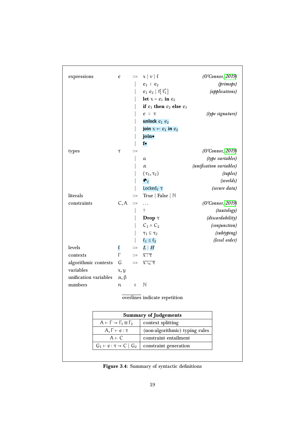<span id="page-19-0"></span>

| expressions                                                   |                                                              | e               |                                | $ ::= \mathbf{x}   \mathbf{v}   \ell$      | (O'Connor, 2019)        |  |
|---------------------------------------------------------------|--------------------------------------------------------------|-----------------|--------------------------------|--------------------------------------------|-------------------------|--|
|                                                               |                                                              |                 |                                | $e_1$ 2 $e_2$                              | (primops)               |  |
|                                                               |                                                              |                 |                                | $e_1$ $e_2$   $f[\overrightarrow{\tau_i}]$ | (applications)          |  |
|                                                               |                                                              |                 |                                | let $x = e_1$ in $e_2$                     |                         |  |
|                                                               |                                                              |                 |                                | if $e_1$ then $e_2$ else $e_3$             |                         |  |
|                                                               |                                                              |                 |                                | $e$ : $\tau$                               | (type signature)        |  |
|                                                               |                                                              |                 |                                | unlock $e_1$ $e_2$                         |                         |  |
|                                                               |                                                              |                 |                                | join $x \leftarrow e_1$ in $e_2$           |                         |  |
|                                                               |                                                              |                 |                                | join•                                      |                         |  |
|                                                               |                                                              |                 |                                | $f\bullet$                                 |                         |  |
| types                                                         |                                                              | τ               | $::=$                          |                                            | (O'Connor, 2019)        |  |
|                                                               |                                                              |                 |                                | a                                          | (type variables)        |  |
|                                                               |                                                              |                 |                                | α                                          | (unification variables) |  |
|                                                               |                                                              |                 |                                | $(\tau_1, \tau_2)$                         | (tuples)                |  |
|                                                               |                                                              |                 |                                | $\bullet$                                  | (worlds)                |  |
|                                                               |                                                              |                 |                                | Locked $\ell \tau$                         | (secure data)           |  |
| literals                                                      |                                                              |                 | $::=$                          | True   False   $\mathbb N$                 |                         |  |
| constraints                                                   |                                                              | C, A            | $::=$                          | .                                          | (O'Connor, 2019)        |  |
|                                                               |                                                              |                 |                                | Τ                                          | (tautology)             |  |
|                                                               |                                                              |                 |                                | Drop $\tau$                                | (discardability)        |  |
|                                                               |                                                              |                 |                                | $C_1 \wedge C_2$                           | (conjunction)           |  |
|                                                               |                                                              |                 |                                | $\tau_1 \sqsubseteq \tau_2$                | (subtyping)             |  |
|                                                               |                                                              |                 |                                | $\ell_1 \leq \ell_2$                       | (level order)           |  |
| levels                                                        |                                                              | $\ell$          | $::=$                          | $L \mid H$                                 |                         |  |
| contexts                                                      |                                                              | Г               | $::=$                          | $\overline{\chi:\tau}$                     |                         |  |
| algorithmic contexts                                          |                                                              | G               | $::=$                          | $\overline{x:_{n} \tau}$                   |                         |  |
| variables                                                     |                                                              | x, y            |                                |                                            |                         |  |
| unification variables                                         |                                                              | $\alpha, \beta$ |                                |                                            |                         |  |
| numbers                                                       |                                                              | $\mathfrak n$   | $\epsilon$                     | $\mathbb N$                                |                         |  |
|                                                               |                                                              |                 |                                | overlines indicate repetition              |                         |  |
|                                                               |                                                              |                 |                                |                                            |                         |  |
| <b>Summary of Judgements</b>                                  |                                                              |                 |                                |                                            |                         |  |
| $A \vdash \Gamma \rightsquigarrow \Gamma_1 \boxplus \Gamma_2$ |                                                              |                 |                                | context splitting                          |                         |  |
|                                                               | $A, \Gamma \vdash e : \tau$<br>$A \vdash C$                  |                 | (non-algorithmic) typing rules |                                            |                         |  |
|                                                               |                                                              |                 | constraint entailment          |                                            |                         |  |
|                                                               | $\overline{G_1} \vdash e : \tau \rightsquigarrow C \mid G_2$ |                 |                                | constraint generation                      |                         |  |
|                                                               |                                                              |                 |                                |                                            |                         |  |
|                                                               |                                                              |                 |                                |                                            |                         |  |

Figure 3.4: Summary of syntactic definitions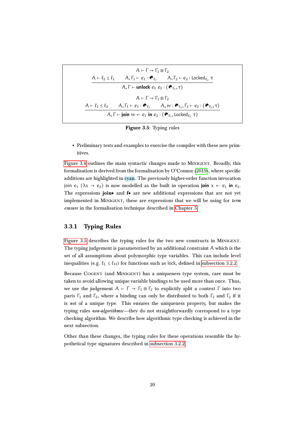<span id="page-20-1"></span>
$$
A \vdash \Gamma \rightsquigarrow \Gamma_1 \boxplus \Gamma_2
$$
\n
$$
\underline{A \vdash \ell_2 \leq \ell_1 \qquad A, \Gamma_1 \vdash e_1 : \bullet \ell_1 \qquad A, \Gamma_2 \vdash e_2 : \text{locked}_{\ell_2} \tau
$$
\n
$$
\underline{A, \Gamma \vdash \text{unlock } e_1 e_2 : (\bullet \ell_1, \tau)}
$$
\n
$$
A \vdash \Gamma \rightsquigarrow \Gamma_1 \boxplus \Gamma_2
$$
\n
$$
\underline{A \vdash \ell_1 \leq \ell_2 \qquad A, \Gamma_1 \vdash e_1 : \bullet \ell_1 \qquad A, w : \bullet \ell_2, \Gamma_2 \vdash e_2 : (\bullet \ell_2, \tau)}
$$
\n
$$
\underline{A, \Gamma \vdash \text{join } w \leftarrow e_1 \text{ in } e_2 : (\bullet \ell_1, \text{locked}_{\ell_2} \tau)
$$

Figure 3.5: Typing rules

• Preliminary tests and examples to exercise the compiler with these new primitives.

[Figure 3.4](#page-19-0) outlines the main syntactic changes made to Minigent. Broadly, this formalisation is derived from the formalisation by O'Connor [\(2019\)](#page-34-13), where specific additions are highlighted in cyan. The previously higher-order function invocation join  $e_1$  ( $\lambda x \rightarrow e_2$ ) is now modelled as the built in operation **join**  $x \leftarrow e_1$  in  $e_2$ . The expressions join● and f● are new additional expressions that are not yet implemented in MINIGENT, these are expressions that we will be using for term erasure in the formalisation technique described in [Chapter 5.](#page-25-0)

#### <span id="page-20-0"></span>3.3.1 Typing Rules

[Figure 3.5](#page-20-1) describes the typing rules for the two new constructs in Minigent. The typing judgement is parameterised by an additional constraint A which is the set of all assumptions about polymorphic type variables. This can include level inequalities (e.g.  $\ell_L \leq \ell_H$ ) for functions such as lock, defined in [subsection 3.2.2.](#page-16-0)

Because COGENT (and MINIGENT) has a uniqueness type system, care must be taken to avoid allowing unique variable bindings to be used more than once. Thus, we use the judgement  $A \vdash \Gamma \leadsto \Gamma_1 \boxplus \Gamma_2$  to explicitly split a context  $\Gamma$  into two parts  $\Gamma_1$  and  $\Gamma_2$ , where a binding can only be distributed to both  $\Gamma_1$  and  $\Gamma_2$  if it is not of a unique type. This ensures the uniqueness property, but makes the typing rules non-algorithmic—they do not straightforwardly correspond to a type checking algorithm. We describe how algorithmic type checking is achieved in the next subsection.

Other than these changes, the typing rules for these operations resemble the hypothetical type signatures described in [subsection 3.2.2.](#page-16-0)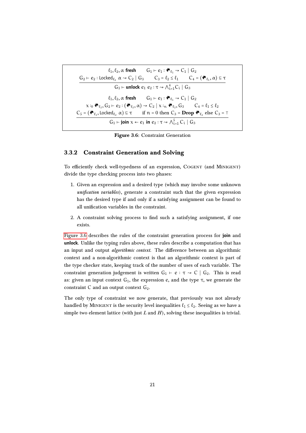<span id="page-21-1"></span>
$$
\ell_1, \ell_2, \alpha \text{ fresh} \qquad G_1 \vdash e_1 : \mathbf{e}_{\ell_1} \rightsquigarrow C_1 \mid G_2
$$
\n
$$
\underline{G_2 \vdash e_2 : Locked_{\ell_2} \alpha \rightsquigarrow C_2 \mid G_3 \qquad C_3 = \ell_2 \leq \ell_1 \qquad C_4 = (\mathbf{e}_{\ell_1}, \alpha) \subseteq \tau
$$
\n
$$
G_1 \vdash \text{unlock } e_1 \ e_2 : \tau \rightsquigarrow \bigwedge_{i=1}^4 C_i \mid G_3
$$
\n
$$
\ell_1, \ell_2, \alpha \text{ fresh} \qquad G_1 \vdash e_1 : \mathbf{e}_{\ell_1} \rightsquigarrow C_1 \mid G_2
$$
\n
$$
\times :_0 \mathbf{e}_{\ell_2}, G_2 \vdash e_2 : (\mathbf{e}_{\ell_2}, \alpha) \rightsquigarrow C_2 \mid \times :_n \mathbf{e}_{\ell_2}, G_3 \qquad C_4 = \ell_1 \leq \ell_2
$$
\n
$$
\underline{C_5 = (\mathbf{e}_{\ell_1}, \text{locked}_{\ell_2} \alpha) \subseteq \tau \qquad \text{if } n = 0 \text{ then } C_3 = \text{Drop } \mathbf{e}_{\ell_2} \text{ else } C_3 = \tau
$$
\n
$$
G_1 \vdash \text{join } \times \leftarrow e_1 \text{ in } e_2 : \tau \rightsquigarrow \bigwedge_{i=1}^5 C_i \mid G_3
$$

Figure 3.6: Constraint Generation

#### <span id="page-21-0"></span>3.3.2 Constraint Generation and Solving

To efficiently check well-typedness of an expression, COGENT (and MINIGENT) divide the type checking process into two phases:

- 1. Given an expression and a desired type (which may involve some unknown  $unification\ variables)$ , generate a constraint such that the given expression has the desired type if and only if a satisfying assignment can be found to all unification variables in the constraint.
- 2. A constraint solving process to find such a satisfying assignment, if one exists.

[Figure 3.6](#page-21-1) describes the rules of the constraint generation process for **join** and **unlock**. Unlike the typing rules above, these rules describe a computation that has an input and output *algorithmic context*. The difference between an algorithmic context and a non-algorithmic context is that an algorithmic context is part of the type checker state, keeping track of the number of uses of each variable. The constraint generation judgement is written  $G_1 \vdash e : \tau \rightarrow C \mid G_2$ . This is read as: given an input context  $G_1$ , the expression  $e$ , and the type  $\tau$ , we generate the constraint  $C$  and an output context  $G_2$ .

The only type of constraint we now generate, that previously was not already handled by MINIGENT is the security level inequalities  $\ell_1 \leq \ell_2$ . Seeing as we have a simple two element lattice (with just  $L$  and  $H$ ), solving these inequalities is trivial.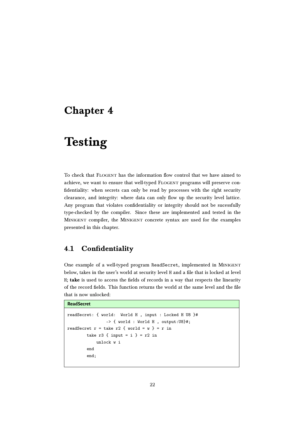### <span id="page-22-0"></span>Chapter 4

# **Testing**

To check that Flogent has the information flow control that we have aimed to achieve, we want to ensure that well-typed FLOGENT programs will preserve confidentiality: when secrets can only be read by processes with the right security clearance, and integrity: where data can only flow up the security level lattice. Any program that violates confidentiality or integrity should not be sucessfully type-checked by the compiler. Since these are implemented and tested in the Minigent compiler, the Minigent concrete syntax are used for the examples presented in this chapter.

### <span id="page-22-1"></span>4.1 Confidentiality

One example of a well-typed program ReadSecret, implemented in Minigent below, takes in the user's world at security level H and a file that is locked at level H; take is used to access the fields of records in a way that respects the linearity of the record fields. This function returns the world at the same level and the file that is now unlocked:

```
ReadSecret
```

```
readSecret: { world: World H , input : Locked H U8 }#
                -> { world : World H , output:U8}#;
readSecret r = take r2 \{ world = w \} = r in
       take r3 { input = i } = r2 in
            unlock w i
        end
        end;
```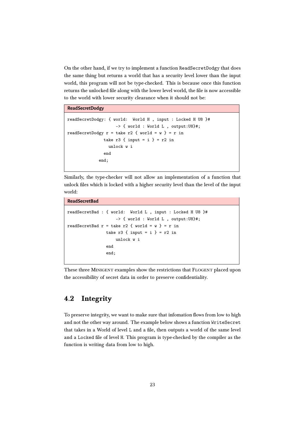On the other hand, if we try to implement a function ReadSecretDodgy that does the same thing but returns a world that has a security level lower than the input world, this program will not be type-checked. This is because once this function returns the unlocked file along with the lower level world, the file is now accessible to the world with lower security clearance when it should not be:

**ReadSecretDodgy**

```
readSecretDodgy: { world: World H , input : Locked H U8 }#
                    -> { world : World L , output:U8}#;
readSecretDodgy r = take r2 \{ world = w } = r in
               take r3 { input = i } = r2 in
                 unlock w i
               end
             end;
```
Similarly, the type-checker will not allow an implementation of a function that unlock files which is locked with a higher security level than the level of the input world:

```
ReadSecretBad
readSecretBad : { world: World L , input : Locked H U8 }#
                    -> { world : World L , output:U8}#;
readSecretBad r = take r2 { world = w } = r in
                take r3 { input = i } = r2 in
                    unlock w i
                end
                end;
```
These three MINIGENT examples show the restrictions that FLOGENT placed upon the accessibility of secret data in order to preserve confidentiality.

### <span id="page-23-0"></span>4.2 Integrity

To preserve integrity, we want to make sure that infomation flows from low to high and not the other way around. The example below shows a function WriteSecret that takes in a World of level L and a file, then outputs a world of the same level and a Locked file of level H. This program is type-checked by the compiler as the function is writing data from low to high.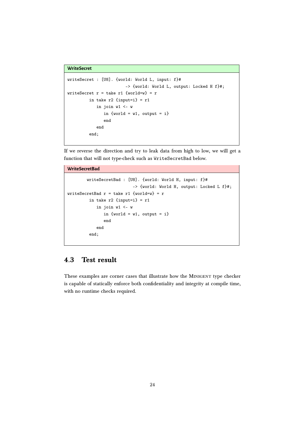```
WriteSecret
```

```
writeSecret : [U8]. {world: World L, input: f}#
                        -> {world: World L, output: Locked H f}#;
writeSecret r = take r1 {world=w} = r
         in take r2 {input=i} = r1in join w1 \leq -win \{world = w1, output = i\}end
            end
         end;
```
If we reverse the direction and try to leak data from high to low, we will get a function that will not type-check such as WriteSecretBad below.

```
WriteSecretBad
```

```
writeSecretBad : [U8]. {world: World H, input: f}#
                           -> {world: World H, output: Locked L f}#;
writeSecretBad r = take r1 {world=w} = r
         in take r2 {input=i} = r1in join w1 \leq -win \{world = w1, output = i\}end
            end
         end;
```
### <span id="page-24-0"></span>4.3 Test result

These examples are corner cases that illustrate how the MINIGENT type checker is capable of statically enforce both confidentiality and integrity at compile time, with no runtime checks required.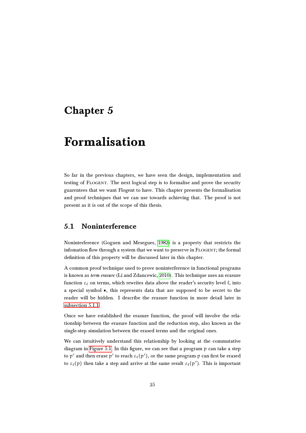## <span id="page-25-0"></span>Chapter 5

## Formalisation

So far in the previous chapters, we have seen the design, implementation and testing of Flogent. The next logical step is to formalise and prove the security guarentees that we want Flogent to have. This chapter presents the formalisation and proof techniques that we can use towards achieving that. The proof is not present as it is out of the scope of this thesis.

### <span id="page-25-1"></span>5.1 Noninterference

Noninterference (Goguen and Meseguer, [1982\)](#page-33-8) is a property that restricts the infomation flow through a system that we want to preserve in FLOGENT; the formal definition of this property will be discussed later in this chapter.

A common proof technique used to prove noninterference in functional programs is known as term erasure (Li and Zdancewic, [2010\)](#page-33-9). This technique uses an erasure function  $\varepsilon_\ell$  on terms, which rewrites data above the reader's security level  $\ell$ , into a special symbol ●, this represents data that are supposed to be secret to the reader will be hidden. I describe the erasure function in more detail later in [subsection 5.1.1.](#page-26-0)

Once we have established the erasure function, the proof will involve the relationship between the erasure function and the reduction step, also known as the single-step simulation between the erased terms and the original ones.

We can intuitively understand this relationship by looking at the commutative diagram in [Figure 5.1.](#page-26-1) In this figure, we can see that a program p can take a step to  $\mathfrak{p}'$  and then erase  $\mathfrak{p}'$  to reach  $\mathfrak{e}_\ell(\mathfrak{p}'),$  or the same program  $\mathfrak{p}$  can first be erased to  $\varepsilon_{\ell}(\mathfrak{p})$  then take a step and arrive at the same result  $\varepsilon_{\ell}(\mathfrak{p}^{\prime})$ . This is important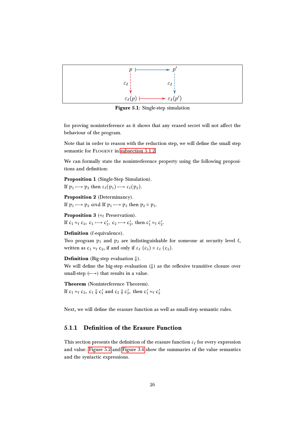<span id="page-26-1"></span>

Figure 5.1: Single-step simulation

for proving noninterference as it shows that any erased secret will not affect the behaviour of the program.

Note that in order to reason with the reduction step, we will define the small step semantic for FLOGENT in [subsection 5.1.2.](#page-28-0)

We can formally state the noninterference property using the following propositions and definition:

Proposition 1 (Single-Step Simulation).

If  $p_1 \mapsto p_2$  then  $\varepsilon_\ell(p_1) \mapsto \varepsilon_\ell(p_2)$ .

Proposition 2 (Determinancy). If  $p_1 \mapsto p_2$  and If  $p_1 \mapsto p_3$  then  $p_2 \equiv p_3$ .

**Proposition 3** ( $\approx$  Preservation). If  $c_1 \approx_{\ell} c_2$ ,  $c_1 \mapsto c'_1$ ,  $c_2 \mapsto c'_2$ , then  $c'_1 \approx_{\ell} c'_2$ .

Definition ( $\ell$ -equivalence).

Two program  $p_1$  and  $p_2$  are indistinguishable for someone at security level  $\ell$ , written as  $c_1 \approx_{\ell} c_2$ , if and only if  $\varepsilon_{\ell}$   $(c_1) \equiv \varepsilon_{\ell}$   $(c_2)$ .

**Definition** (Big-step evaluation  $\Downarrow$ ).

We will define the big-step evaluation  $(\Downarrow)$  as the reflexive transitive closure over small-step  $(\rightarrow)$  that results in a value.

Theorem (Noninterference Theorem). If  $c_1 \approx_{\ell} c_2$ ,  $c_1 \Downarrow c'_1$  and  $c_2 \Downarrow c'_2$ , then  $c'_1 \approx_{\ell} c'_2$ 

Next, we will define the erasure function as well as small-step semantic rules.

#### <span id="page-26-0"></span>5.1.1 Definition of the Erasure Function

This section presents the definition of the erasure function  $\varepsilon_{\ell}$  for every expression and value. [Figure 5.2](#page-27-0) and [Figure 3.4](#page-19-0) show the summaries of the value semantics and the syntactic expressions.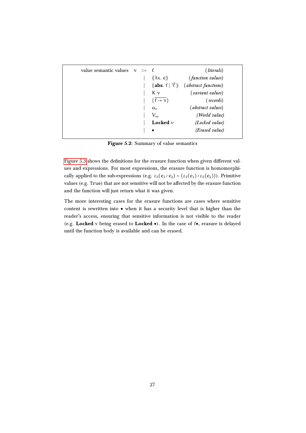<span id="page-27-0"></span>

| value semantic values | $\gamma$ | $\therefore = \ell$ |                                                   | (lit erals)                 |
|-----------------------|----------|---------------------|---------------------------------------------------|-----------------------------|
|                       |          |                     | $\langle \langle \lambda x. e \rangle \rangle$    | <i>(function values)</i>    |
|                       |          |                     | $\langle \mathbf{abs.}~f \mid \vec{\tau} \rangle$ | <i>(abstract functions)</i> |
|                       |          |                     | Κν                                                | <i>(variant values)</i>     |
|                       |          |                     | $\{f \rightarrow v\}$                             | $(\text{records})$          |
|                       |          |                     | $a_{\nu}$                                         | <i>(abstract values)</i>    |
|                       |          |                     | $V_w$                                             | (World value)               |
|                       |          |                     | Locked $\nu$                                      | (Locked value)              |
|                       |          |                     | $\bullet$                                         | (Erased value)              |

Figure 5.2: Summary of value semantics

[Figure 5.3](#page-28-1) shows the definitions for the erasure function when given different values and expressions. For most expressions, the erasure function is homomorphically applied to the sub-expressions (e.g.  $\varepsilon_{\ell}(e_1 \wr e_2) = (\varepsilon_{\ell}(e_1) \wr \varepsilon_{\ell}(e_2))$ ). Primitive values (e.g. True) that are not sensitive will not be affected by the erasure function and the function will just return what it was given.

The more interesting cases for the erasure functions are cases where sensitive content is rewritten into ● when it has a security level that is higher than the reader's access, ensuring that sensitive information is not visible to the reader (e.g. Locked v being erased to Locked ●). In the case of f●, erasure is delayed until the function body is available and can be erased.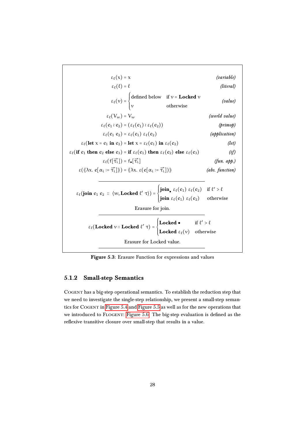<span id="page-28-1"></span>

Figure 5.3: Erasure Function for expressions and values

#### <span id="page-28-0"></span>5.1.2 Small-step Semantics

Cogent has a big-step operational semantics. To establish the reduction step that we need to investigate the single-step relationship, we present a small-step semantics for Cogent in [Figure 5.4](#page-29-0) and [Figure 5.5](#page-30-0) as well as for the new operations that we introduced to FLOGENT: [Figure 5.6.](#page-31-0) The big-step evaluation is defined as the reflexive transitive closure over small-step that results in a value.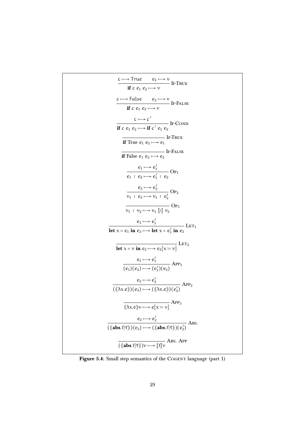<span id="page-29-0"></span>
$$
\frac{c \mapsto True \quad e_1 \mapsto v}{\text{if } c \quad e_1 \quad e_2 \mapsto v} \text{ IF-TRUE}
$$
\n
$$
\frac{c \mapsto False \quad e_2 \mapsto v}{\text{if } c \quad e_1 \quad e_2 \mapsto v} \text{ IF-FALSE}
$$
\n
$$
\frac{c \mapsto c'}{\text{if } c \quad e_1 \quad e_2 \mapsto v} \text{ IF-CAISE}
$$
\n
$$
\frac{c \mapsto c'}{\text{if True } e_1 \quad e_2 \mapsto \text{if } c' \quad e_1 \quad e_2} \text{ IF-CAISE}
$$
\n
$$
\frac{d}{d} \text{True } e_1 \quad e_2 \mapsto e_2 \text{ IF-ATEE}
$$
\n
$$
\frac{e_1 \mapsto e_1'}{e_1 \quad e_2 \mapsto e_1' \quad e_2} \text{Op}_1
$$
\n
$$
\frac{e_2 \mapsto e_1' \quad e_2}{v_1 \quad e_2 \mapsto v_1 \quad e_2'} \text{Op}_2
$$
\n
$$
\frac{e_2 \mapsto e_2'}{v_1 \quad e_2 \mapsto v_1 \quad e_2'} \text{Op}_2
$$
\n
$$
\frac{e_1 \mapsto e_1'}{v_1 \quad v_2 \mapsto v_1 \quad [v] \quad v_2} \text{Op}_3
$$
\n
$$
\frac{e_1 \mapsto e_1'}{\text{let } x = e_1 \text{ in } e_2 \mapsto \text{let } x = e_1' \text{ in } e_2} \text{LET}_1
$$
\n
$$
\frac{e_1 \mapsto e_1'}{(e_1)(e_2) \mapsto (e_1')(e_2)} \text{APP}_1
$$
\n
$$
\frac{e_2 \mapsto e_2'}{((\langle \lambda x. e \rangle)(e_2) \mapsto ((\langle \lambda x. e \rangle)(e_2'))} \text{APP}_3
$$
\n
$$
\frac{e_2 \mapsto e_2'}{((\langle \lambda x. e \rangle)(e_2) \mapsto ((\langle \text{abs.f} | \overline{\tau} \rangle)(e_2'))} \text{ABB.}
$$

Figure 5.4: Small step semantics of the COGENT language (part 1)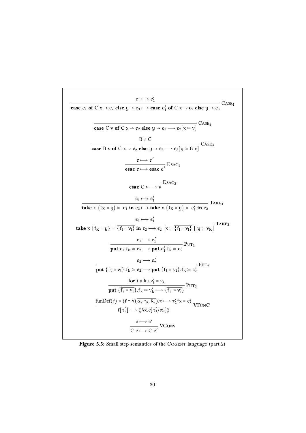<span id="page-30-0"></span>Case e<sub>1</sub> of C x→e<sub>2</sub> else y→e<sub>3</sub> → case e'<sub>1</sub> of C x→e<sub>2</sub> else y→e<sub>3</sub> CASE<sub>1</sub>  
\n
$$
\frac{e_1 \rightarrow e'_1}{\text{case C} \text{ v of C x → e_2} \text{ else } y → e_3 \rightarrow e_2[x == v]} \text{CASE}_2
$$
\n
$$
\frac{B \neq C}{\text{case B} \text{ v of C x → e_2} \text{ else } y → e_3 \rightarrow e_3[y := B \text{ v}]} \text{CASE}_3
$$
\n
$$
\frac{e \rightarrow e'}{\text{exec } e \rightarrow \text{esac } e'} \text{ESAC}_1
$$
\n
$$
\frac{e \rightarrow e'}{\text{exec } e \rightarrow \text{esac } e'} \text{ESAC}_1
$$
\n
$$
\frac{e_1 \rightarrow e'_1}{\text{take } x \{f_K = y\} = e_1 \text{ in } e_2 \rightarrow \text{take } x \{f_K = y\} = e'_1 \text{ in } e_2} \text{Take } x \{f_K = y\} = \frac{e_1 \rightarrow e'_1}{\{i_1 = v_i\} \text{ in } e_2 \rightarrow \text{te}} \text{Ex} = \frac{e_1 \rightarrow e'_1}{\{f_i = v_i\} \text{ in } e_2 \rightarrow e'_2} \text{Put } e'_1.f_k := e_2} \text{PUT}_1
$$
\n
$$
\frac{e_1 \rightarrow e'_1}{\text{put } e_1.f_k := e_2 \rightarrow \text{put } \{f_i = v_i\}. f_k := e'_2} \text{PUT}_2
$$
\n
$$
\frac{e_2 \rightarrow e'_2}{\text{put } \{f_i = v_i\}. f_k := e_2 \rightarrow \text{put } \{f_i = v_i\}. f_k := e'_2} \text{PUT}_3
$$
\n
$$
\frac{\text{for } i \neq k : v'_i = v_i}{\text{put } \{f_i = v_i\}. f_k := v'_k \rightarrow \{f_i := v'_i\}} \text{PUT}_3
$$
\n
$$
\frac{\text{fumbel}(f) = \{f : \forall (\alpha_i :: k, k_i). \tau \rightarrow \tau'_i fx = e\}}{\{c e \rightarrow c e'} \text{VCons}}
$$

Figure 5.5: Small step semantics of the COGENT language (part 2)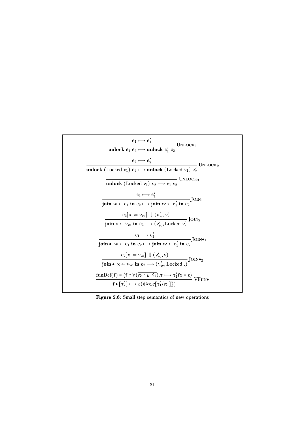<span id="page-31-0"></span>

| $e_1 \mapsto e'_1$<br>– Unlock <sub>1</sub>                                                                                                     |  |
|-------------------------------------------------------------------------------------------------------------------------------------------------|--|
| unlock $e_1$ $e_2 \mapsto$ unlock $e'_1$ $e_2$                                                                                                  |  |
| $e_2 \mapsto e'_2$<br>— Unlock9                                                                                                                 |  |
| <b>unlock</b> (Locked $v_1$ ) $e_2 \rightarrow$ <b>unlock</b> (Locked $v_1$ ) $e'_2$                                                            |  |
| —— Unlock3<br><b>unlock</b> (Locked $v_1$ ) $v_2 \mapsto v_1 v_2$                                                                               |  |
| $e_1 \mapsto e'_1$                                                                                                                              |  |
| $\overline{\textbf{join } w \leftarrow e_1 \textbf{ in } e_2 \longmapsto \textbf{join } w \leftarrow e'_1 \textbf{ in } e_2}$ JOIN <sub>1</sub> |  |
| $e_2[x := v_w] \Downarrow (v'_w, v)$                                                                                                            |  |
| $\overline{\textbf{join } x \leftarrow v_w \textbf{ in } e_2 \longmapsto (v'_w, \text{Locked } v)}$ JOIN <sub>2</sub>                           |  |
| $e_1 \longmapsto e'_1$                                                                                                                          |  |
| join • $w \leftarrow e_1$ in $e_2 \longrightarrow$ join $w \leftarrow e'_1$ in $e_2$ JOIN • 1                                                   |  |
| $e_2[x \approx v_w] \Downarrow (v'_w, v)$<br>$\fbox{Join} \bullet_2$                                                                            |  |
| <b>join</b> • $x \leftarrow v_w$ in $e_2 \longmapsto (v'_w, \text{Locked.})$                                                                    |  |
| $\frac{\text{funDef}(f) = \langle f :: \forall (\overline{\alpha_i ::_K K_i}).\tau \longmapsto \tau'_1 f x = e \rangle}{\text{VFUN•}}$          |  |
| $f \bullet [\overrightarrow{\tau_i}] \longmapsto \varepsilon(\langle \lambda x. e[\overrightarrow{\tau_1}/\alpha_i] \rangle)$                   |  |

Figure 5.6: Small step semantics of new operations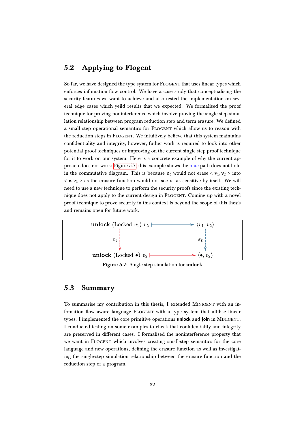### <span id="page-32-0"></span>5.2 Applying to Flogent

So far, we have designed the type system for FLOGENT that uses linear types which enforces infomation flow control. We have a case study that conceptualising the security features we want to achieve and also tested the implementation on several edge cases which yeild results that we expected. We formalised the proof technique for proving noninterference which involve proving the single-step simulation relationship between program reduction step and term erasure. We defined a small step operational semantics for Flogent which allow us to reason with the reduction steps in FLOGENT. We intuitively believe that this system maintains confidentiality and integrity, however, futher work is required to look into other potential proof techniques or improving on the current single step proof technique for it to work on our system. Here is a concrete example of why the current ap-proach does not work: [Figure 5.7;](#page-32-2) this example shows the blue path does not hold in the commutative diagram. This is because  $\epsilon_{\ell}$  would not erase  $\langle v_1, v_2 \rangle$  into  $\langle \bullet, v_2 \rangle$  as the erasure function would not see  $v_1$  as sensitive by itself. We will need to use a new technique to perform the security proofs since the existing technique does not apply to the current design in FLOGENT. Coming up with a novel proof technique to prove security in this context is beyond the scope of this thesis and remains open for future work.

<span id="page-32-2"></span>

Figure 5.7: Single-step simulation for unlock

### <span id="page-32-1"></span>5.3 Summary

To summarise my contribution in this thesis, I extended Minigent with an infomation flow aware language FLOGENT with a type system that ultilise linear types. I implemented the core primitive operations **unlock** and **join** in Minigent, I conducted testing on some examples to check that confidentiality and integrity are preserved in different cases. I formalised the noninterference property that we want in Flogent which involves creating small-step semantics for the core language and new operations, defining the erasure function as well as investigating the single-step simulation relationship between the erasure function and the reduction step of a program.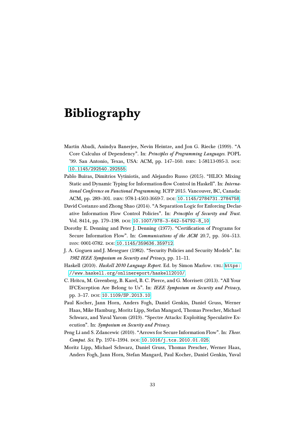## Bibliography

- <span id="page-33-5"></span>Martín Abadi, Anindya Banerjee, Nevin Heintze, and Jon G. Riecke (1999). "A Core Calculus of Dependency". In: Principles of Programming Languages. POPL '99. San Antonio, Texas, USA: ACM, pp. 147–160. isbn: 1-58113-095-3. doi: [10.1145/292540.292555](https://doi.org/10.1145/292540.292555).
- <span id="page-33-4"></span>Pablo Buiras, Dimitrios Vytiniotis, and Alejandro Russo (2015). "HLIO: Mixing Static and Dynamic Typing for Information-flow Control in Haskell". In: International Conference on Functional Programming. ICFP 2015. Vancouver, BC, Canada: ACM, pp. 289–301. isbn: 978-1-4503-3669-7. doi: [10.1145/2784731.2784758](https://doi.org/10.1145/2784731.2784758).
- <span id="page-33-3"></span>David Costanzo and Zhong Shao (2014). "A Separation Logic for Enforcing Declarative Information Flow Control Policies". In: Principles of Security and Trust. Vol. 8414, pp. 179-198. DOI: [10.1007/978-3-642-54792-8\\_10](https://doi.org/10.1007/978-3-642-54792-8_10).
- <span id="page-33-2"></span>Dorothy E. Denning and Peter J. Denning (1977). "Certification of Programs for Secure Information Flow". In: *Communications of the ACM* 20.7, pp. 504-513. ISSN: 0001-0782. DOI: [10.1145/359636.359712](https://doi.org/10.1145/359636.359712).
- <span id="page-33-8"></span>J. A. Goguen and J. Meseguer (1982). "Security Policies and Security Models". In: 1982 IEEE Symposium on Security and Privacy, pp. 11–11.
- <span id="page-33-6"></span>Haskell (2010). Haskell 2010 Language Report. Ed. by Simon Marlow. URL: [https:](https://www.haskell.org/onlinereport/haskell2010/) [//www.haskell.org/onlinereport/haskell2010/](https://www.haskell.org/onlinereport/haskell2010/).
- <span id="page-33-7"></span>C. Hritcu, M. Greenberg, B. Karel, B. C. Pierce, and G. Morrisett (2013). "All Your IFCException Are Belong to Us". In: IEEE Symposium on Security and Privacy, pp. 3-17. poi: [10.1109/SP.2013.10](https://doi.org/10.1109/SP.2013.10).
- <span id="page-33-0"></span>Paul Kocher, Jann Horn, Anders Fogh, Daniel Genkin, Daniel Gruss, Werner Haas, Mike Hamburg, Moritz Lipp, Stefan Mangard, Thomas Prescher, Michael Schwarz, and Yuval Yarom (2019). "Spectre Attacks: Exploiting Speculative Execution". In: Symposium on Security and Privacy.
- <span id="page-33-9"></span>Peng Li and S. Zdancewic (2010). "Arrows for Secure Information Flow". In: Theor. Comput. Sci. Pp. 1974-1994. DOI: [10.1016/j.tcs.2010.01.025](https://doi.org/10.1016/j.tcs.2010.01.025).
- <span id="page-33-1"></span>Moritz Lipp, Michael Schwarz, Daniel Gruss, Thomas Prescher, Werner Haas, Anders Fogh, Jann Horn, Stefan Mangard, Paul Kocher, Daniel Genkin, Yuval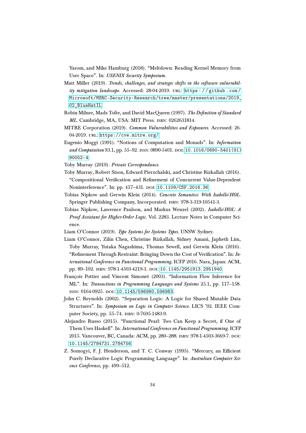Yarom, and Mike Hamburg (2018). "Meltdown: Reading Kernel Memory from User Space". In: USENIX Security Symposium.

- <span id="page-34-0"></span>Matt Miller (2019). Trends, challenges, and strategic shifts in the software vulnerability mitigation landscape. Accessed: 28-04-2019. URL: https://github.com/ [Microsoft/MSRC-Security-Research/tree/master/presentations/2019\\_](https://github.com/Microsoft/MSRC-Security-Research/tree/master/presentations/2019_02_BlueHatIL) [02\\_BlueHatIL](https://github.com/Microsoft/MSRC-Security-Research/tree/master/presentations/2019_02_BlueHatIL).
- <span id="page-34-9"></span>Robin Milner, Mads Tofte, and David MacQueen (1997). The Definition of Standard ML. Cambridge, MA, USA: MIT Press. isbn: 0262631814.
- <span id="page-34-3"></span>MITRE Corporation (2019). Common Vulnerabilities and Exposures. Accessed: 26- 04-2019. url: <https://cve.mitre.org/>.
- <span id="page-34-7"></span>Eugenio Moggi (1991). "Notions of Computation and Monads". In: Information and Computation 93.1, pp. 55–92. ISSN: 0890-5401. DOI: [10.1016/0890-5401\(91\)](https://doi.org/10.1016/0890-5401(91)90052-4) [90052-4](https://doi.org/10.1016/0890-5401(91)90052-4).
- <span id="page-34-12"></span>Toby Murray (2019). Private Correspondance.
- <span id="page-34-6"></span>Toby Murray, Robert Sison, Edward Pierzchalski, and Christine Rizkallah (2016). "Compositional Verification and Refinement of Concurrent Value-Dependent Noninterference". In: pp. 417-431. DOI: [10.1109/CSF.2016.36](https://doi.org/10.1109/CSF.2016.36).
- <span id="page-34-4"></span>Tobias Nipkow and Gerwin Klein (2014). Concrete Semantics: With Isabelle/HOL. Springer Publishing Company, Incorporated. isbn: 978-3-319-10541-3.
- <span id="page-34-2"></span>Tobias Nipkow, Lawrence Paulson, and Markus Wenzel (2002). Isabelle/HOL: A Proof Assistant for Higher-Order Logic. Vol. 2283. Lecture Notes in Computer Science.
- <span id="page-34-13"></span>Liam O'Connor (2019). Type Systems for Systems Types. UNSW Sydney.
- <span id="page-34-1"></span>Liam O'Connor, Zilin Chen, Christine Rizkallah, Sidney Amani, Japheth Lim, Toby Murray, Yutaka Nagashima, Thomas Sewell, and Gerwin Klein (2016). "Refinement Through Restraint: Bringing Down the Cost of Verification". In: International Conference on Functional Programming. ICFP 2016. Nara, Japan: ACM, pp. 89-102. ISBN: 978-1-4503-4219-3. DOI: [10.1145/2951913.2951940](https://doi.org/10.1145/2951913.2951940).
- <span id="page-34-11"></span>François Pottier and Vincent Simonet (2003). "Information Flow Inference for ML". In: Transactions in Programming Languages and Systems 25.1, pp. 117–158. issn: 0164-0925. doi: [10.1145/596980.596983](https://doi.org/10.1145/596980.596983).
- <span id="page-34-5"></span>John C. Reynolds (2002). "Separation Logic: A Logic for Shared Mutable Data Structures". In: Symposium on Logic in Computer Science. LICS '02. IEEE Computer Society, pp. 55–74. isbn: 0-7695-1483-9.
- <span id="page-34-8"></span>Alejandro Russo (2015). "Functional Pearl: Two Can Keep a Secret, if One of Them Uses Haskell". In: International Conference on Functional Programming. ICFP 2015. Vancouver, BC, Canada: ACM, pp. 280–288. isbn: 978-1-4503-3669-7. doi: [10.1145/2784731.2784756](https://doi.org/10.1145/2784731.2784756).
- <span id="page-34-10"></span>Z. Somogyi, F. J. Henderson, and T. C. Conway (1995). "Mercury, an Efficient Purely Declarative Logic Programming Language". In: Australian Computer Science Conference, pp. 499–512.